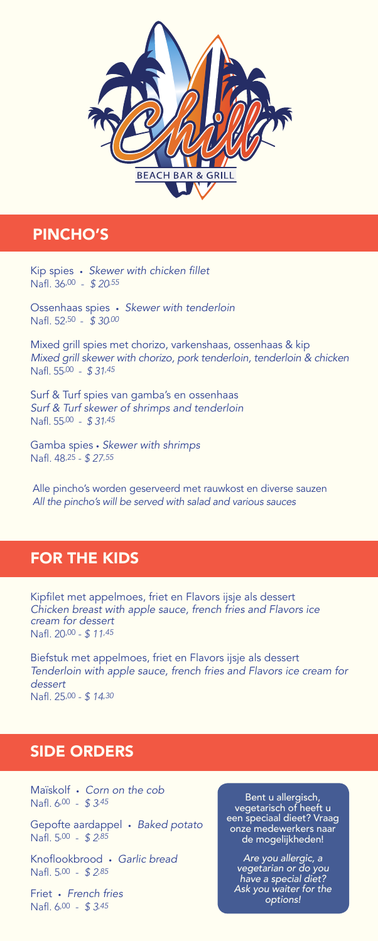

### PINCHO'S

Kip spies • Skewer with chicken fillet Nafl. 36,00 - *\$ 20,55*

Ossenhaas spies • Skewer with tenderloin Nafl. 52,50 - *\$ 30,00*

Mixed grill spies met chorizo, varkenshaas, ossenhaas & kip Mixed grill skewer with chorizo, pork tenderloin, tenderloin & chicken Nafl. 55,00 - *\$ 31,45*

Surf & Turf spies van gamba's en ossenhaas Surf & Turf skewer of shrimps and tenderloin Nafl. 55,00 - *\$ 31,45*

Gamba spies • Skewer with shrimps Nafl. 48,25 - *\$ 27,55*

Alle pincho's worden geserveerd met rauwkost en diverse sauzen All the pincho's will be served with salad and various sauces

## FOR THE KIDS

Kipfilet met appelmoes, friet en Flavors ijsje als dessert Chicken breast with apple sauce, french fries and Flavors ice cream for dessert Nafl. 20,00 - *\$ 11,45*

Biefstuk met appelmoes, friet en Flavors ijsje als dessert Tenderloin with apple sauce, french fries and Flavors ice cream for dessert Nafl. 25,00 - *\$ 14,30*

## SIDE ORDERS

Maïskolf • Corn on the cob Nafl. 6,00 - *\$ 3,45*

Gepofte aardappel • Baked potato Nafl. 5,00 - *\$ 2,85*

Knoflookbrood • Garlic bread Nafl. 5,00 - *\$ 2,85*

Friet • French fries Nafl. 6,00 - *\$ 3,45*

Bent u allergisch, vegetarisch of heeft u een speciaal dieet? Vraag onze medewerkers naar de mogelijkheden!

*Are you allergic, a vegetarian or do you have a special diet? Ask you waiter for the options!*